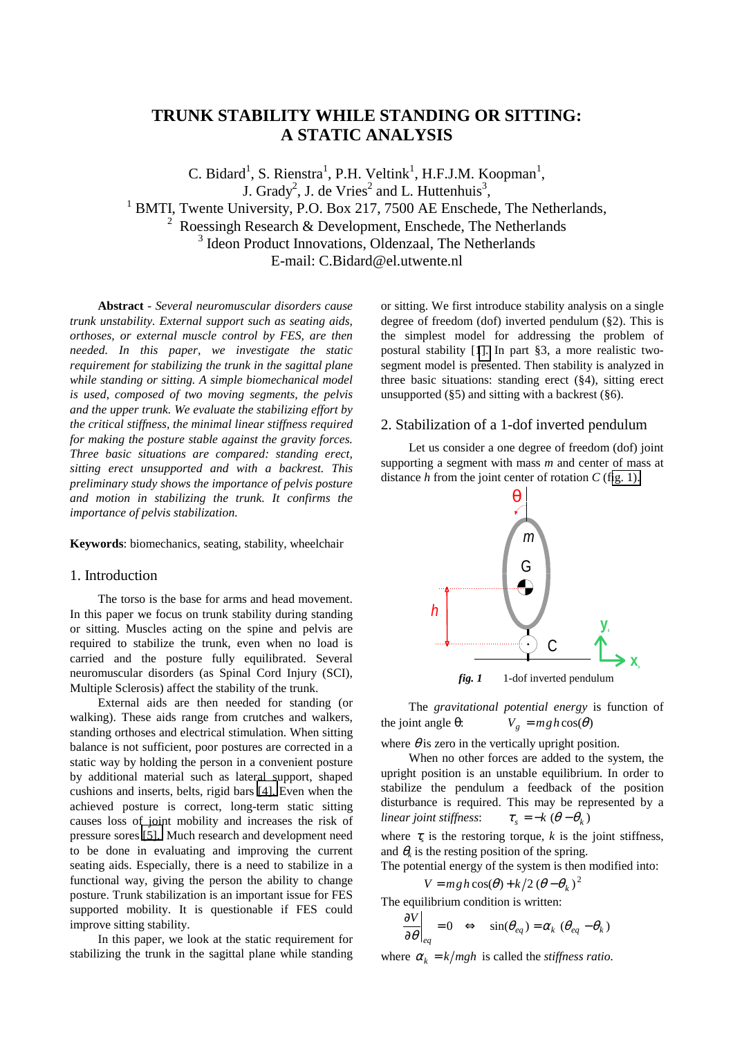# **TRUNK STABILITY WHILE STANDING OR SITTING: A STATIC ANALYSIS**

C. Bidard<sup>1</sup>, S. Rienstra<sup>1</sup>, P.H. Veltink<sup>1</sup>, H.F.J.M. Koopman<sup>1</sup>, J. Grady<sup>2</sup>, J. de Vries<sup>2</sup> and L. Huttenhuis<sup>3</sup> <sup>1</sup> BMTI, Twente University, P.O. Box 217, 7500 AE Enschede, The Netherlands, <sup>2</sup> Roessingh Research & Development, Enschede, The Netherlands <sup>3</sup> Ideon Product Innovations, Oldenzaal, The Netherlands E-mail: C.Bidard@el.utwente.nl

**Abstract** - *Several neuromuscular disorders cause trunk unstability. External support such as seating aids, orthoses, or external muscle control by FES, are then needed. In this paper, we investigate the static requirement for stabilizing the trunk in the sagittal plane while standing or sitting. A simple biomechanical model is used, composed of two moving segments, the pelvis and the upper trunk. We evaluate the stabilizing effort by the critical stiffness, the minimal linear stiffness required for making the posture stable against the gravity forces. Three basic situations are compared: standing erect, sitting erect unsupported and with a backrest. This preliminary study shows the importance of pelvis posture and motion in stabilizing the trunk. It confirms the importance of pelvis stabilization.* 

**Keywords**: biomechanics, seating, stability, wheelchair

## 1. Introduction

The torso is the base for arms and head movement. In this paper we focus on trunk stability during standing or sitting. Muscles acting on the spine and pelvis are required to stabilize the trunk, even when no load is carried and the posture fully equilibrated. Several neuromuscular disorders (as Spinal Cord Injury (SCI), Multiple Sclerosis) affect the stability of the trunk.

External aids are then needed for standing (or walking). These aids range from crutches and walkers, standing orthoses and electrical stimulation. When sitting balance is not sufficient, poor postures are corrected in a static way by holding the person in a convenient posture by additional material such as lateral support, shaped cushions and inserts, belts, rigid bars [\[4\].](#page-3-0) Even when the achieved posture is correct, long-term static sitting causes loss of joint mobility and increases the risk of pressure sores [\[5\].](#page-3-0) Much research and development need to be done in evaluating and improving the current seating aids. Especially, there is a need to stabilize in a functional way, giving the person the ability to change posture. Trunk stabilization is an important issue for FES supported mobility. It is questionable if FES could improve sitting stability.

In this paper, we look at the static requirement for stabilizing the trunk in the sagittal plane while standing or sitting. We first introduce stability analysis on a single degree of freedom (dof) inverted pendulum (§2). This is the simplest model for addressing the problem of postural stability [[1\].](#page-3-0) In part §3, a more realistic twosegment model is presented. Then stability is analyzed in three basic situations: standing erect (§4), sitting erect unsupported  $(\S 5)$  and sitting with a backrest  $(\S 6)$ .

# 2. Stabilization of a 1-dof inverted pendulum

Let us consider a one degree of freedom (dof) joint supporting a segment with mass *m* and center of mass at distance *h* from the joint center of rotation *C* (fig. 1).



*fig. 1* 1-dof inverted pendulum

The *gravitational potential energy* is function of the joint angle  $\theta$ :  $V_g = mgh\cos(\theta)$ 

where  $\theta$  is zero in the vertically upright position.

When no other forces are added to the system, the upright position is an unstable equilibrium. In order to stabilize the pendulum a feedback of the position disturbance is required. This may be represented by a *linear joint stiffness:*  $\tau_s = -k (\theta - \theta_k)$ 

where  $\tau_s$  is the restoring torque, k is the joint stiffness, and  $\theta_k$  is the resting position of the spring.

The potential energy of the system is then modified into:

 $V = mgh \cos(\theta) + k/2 (\theta - \theta_k)^2$ The equilibrium condition is written:

$$
\left. \frac{\partial V}{\partial \theta} \right|_{eq} = 0 \quad \Leftrightarrow \quad \sin(\theta_{eq}) = \alpha_k \ (\theta_{eq} - \theta_k)
$$

where  $\alpha_k = k/mgh$  is called the *stiffness ratio*.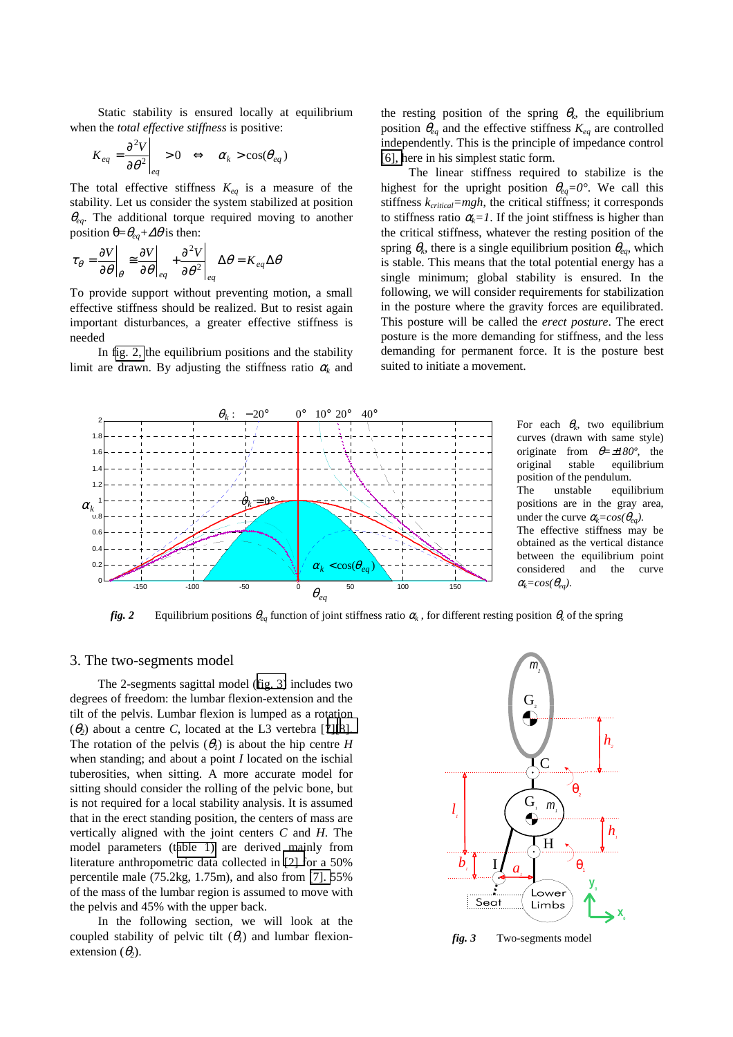Static stability is ensured locally at equilibrium when the *total effective stiffness* is positive:

$$
K_{eq} = \frac{\partial^2 V}{\partial \theta^2}\Big|_{eq} > 0 \iff \alpha_k > \cos(\theta_{eq})
$$

The total effective stiffness  $K_{eq}$  is a measure of the stability. Let us consider the system stabilized at position <sup>θ</sup>*eq*. The additional torque required moving to another position  $\theta = \theta_{eq} + \Delta\theta$  is then:

$$
\tau_{\theta} = \frac{\partial V}{\partial \theta}\Big|_{\theta} \cong \frac{\partial V}{\partial \theta}\Big|_{eq} + \frac{\partial^2 V}{\partial \theta^2}\Big|_{eq} \Delta \theta = K_{eq} \Delta \theta
$$

To provide support without preventing motion, a small effective stiffness should be realized. But to resist again important disturbances, a greater effective stiffness is needed

In fig. 2, the equilibrium positions and the stability limit are drawn. By adjusting the stiffness ratio  $\alpha_k$  and the resting position of the spring  $\theta_k$ , the equilibrium position  $\theta_{eq}$  and the effective stiffness  $K_{eq}$  are controlled independently. This is the principle of impedance control [\[6\], h](#page-3-0)ere in his simplest static form.

The linear stiffness required to stabilize is the highest for the upright position  $\theta_{eq}=0^\circ$ . We call this stiffness  $k_{critical}=mgh$ , the critical stiffness; it corresponds to stiffness ratio  $\alpha_k = 1$ . If the joint stiffness is higher than the critical stiffness, whatever the resting position of the spring  $\theta_k$ , there is a single equilibrium position  $\theta_{eq}$ , which is stable. This means that the total potential energy has a single minimum; global stability is ensured. In the following, we will consider requirements for stabilization in the posture where the gravity forces are equilibrated. This posture will be called the *erect posture*. The erect posture is the more demanding for stiffness, and the less demanding for permanent force. It is the posture best suited to initiate a movement.



curves (drawn with same style) originate from θ*=*±*180º,* the original stable equilibrium position of the pendulum. The unstable equilibrium positions are in the gray area, under the curve  $\alpha_k = cos(\theta_{ea})$ . The effective stiffness may be obtained as the vertical distance between the equilibrium point considered and the curve  $\alpha_k = \cos(\theta_{eq})$ .

*fig.* 2 Equilibrium positions  $\theta_{eq}$  function of joint stiffness ratio  $\alpha_k$ , for different resting position  $\theta_k$  of the spring

#### 3. The two-segments model

The 2-segments sagittal model (fig. 3) includes two degrees of freedom: the lumbar flexion-extension and the tilt of the pelvis. Lumbar flexion is lumped as a rotation ( $\theta$ <sub>2</sub>) about a centre *C*, located at the L3 vertebra [7][8]. The rotation of the pelvis  $(\theta_i)$  is about the hip centre *H* when standing; and about a point *I* located on the ischial tuberosities, when sitting. A more accurate model for sitting should consider the rolling of the pelvic bone, but is not required for a local stability analysis. It is assumed that in the erect standing position, the centers of mass are vertically aligned with the joint centers *C* and *H*. The model parameters (t[able 1\)](#page-2-0) are derived mainly from literature anthropometric data collected in [\[2\] f](#page-3-0)or a 50% percentile male (75.2kg, 1.75m), and also from [\[7\].](#page-3-0) 55% of the mass of the lumbar region is assumed to move with the pelvis and 45% with the upper back.

In the following section, we will look at the coupled stability of pelvic tilt  $(\theta_i)$  and lumbar flexionextension  $(\theta_2)$ .



*fig. 3* Two-segments model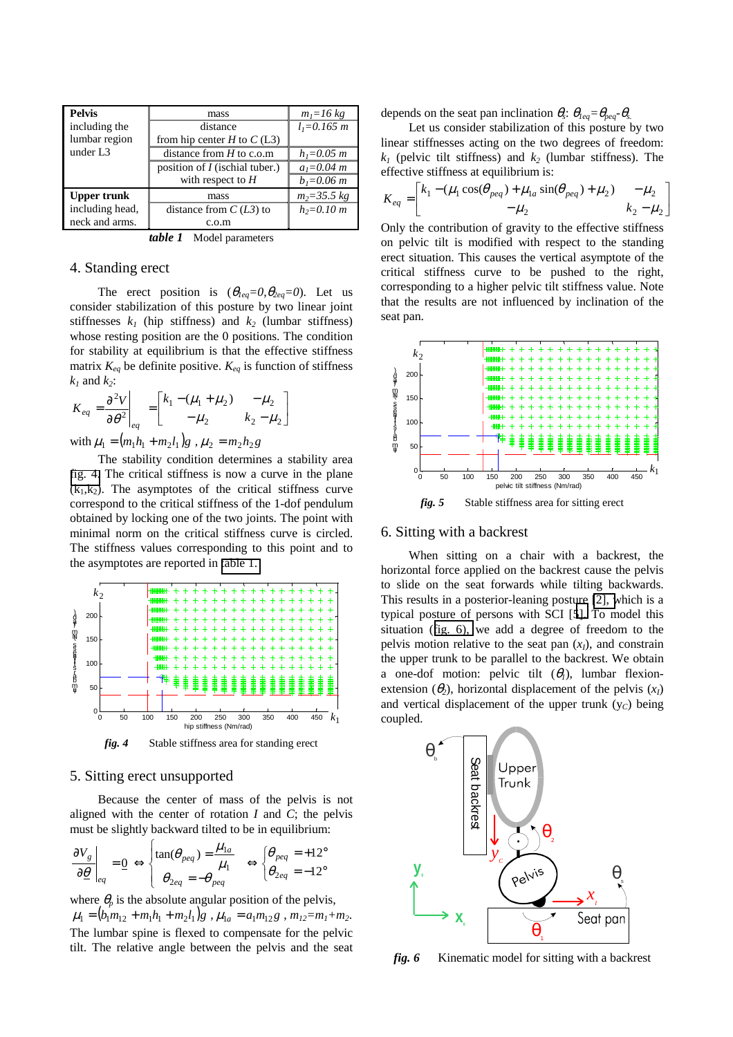<span id="page-2-0"></span>

| <b>Pelvis</b>        | mass                                  | $m_1 = 16 kg$   |
|----------------------|---------------------------------------|-----------------|
| including the        | distance                              | $l_1 = 0.165$ m |
| lumbar region        | from hip center $H$ to $C(L3)$        |                 |
| under L <sub>3</sub> | distance from $H$ to c.o.m            | $h_1 = 0.05$ m  |
|                      | position of <i>I</i> (ischial tuber.) | $a_1 = 0.04$ m  |
|                      | with respect to $H$                   | $b_1 = 0.06$ m  |
| <b>Upper trunk</b>   | mass                                  | $m_2 = 35.5$ kg |
| including head,      | distance from $C(L3)$ to              | $h_2 = 0.10 m$  |
| neck and arms.       | c.o.m                                 |                 |

*table 1* Model parameters

## 4. Standing erect

The erect position is  $(\theta_{leq}=0, \theta_{leq}=0)$ . Let us consider stabilization of this posture by two linear joint stiffnesses  $k_1$  (hip stiffness) and  $k_2$  (lumbar stiffness) whose resting position are the 0 positions. The condition for stability at equilibrium is that the effective stiffness matrix  $K_{eq}$  be definite positive.  $K_{eq}$  is function of stiffness  $k_1$  and  $k_2$ :

$$
K_{eq} = \frac{\partial^2 V}{\partial \theta^2}\Bigg|_{eq} = \begin{bmatrix} k_1 - (\mu_1 + \mu_2) & -\mu_2 \\ -\mu_2 & k_2 - \mu_2 \end{bmatrix}
$$

with  $\mu_1 = (m_1 h_1 + m_2 l_1) g$ ,  $\mu_2 = m_2 h_2 g$ 

The stability condition determines a stability area fig. 4. The critical stiffness is now a curve in the plane  $(k_1,k_2)$ . The asymptotes of the critical stiffness curve correspond to the critical stiffness of the 1-dof pendulum obtained by locking one of the two joints. The point with minimal norm on the critical stiffness curve is circled. The stiffness values corresponding to this point and to the asymptotes are reported in [table 1.](#page-3-0) 



# 5. Sitting erect unsupported

Because the center of mass of the pelvis is not aligned with the center of rotation *I* and *C*; the pelvis must be slightly backward tilted to be in equilibrium:

$$
\left. \frac{\partial V_g}{\partial \underline{\theta}} \right|_{eq} = \underline{0} \iff \begin{cases} \tan(\theta_{peq}) = \frac{\mu_{1a}}{\mu_1} \\ \theta_{2eq} = -\theta_{peq} \end{cases} \iff \begin{cases} \theta_{peq} = +12^\circ \\ \theta_{2eq} = -12^\circ \end{cases}
$$

where  $\theta_p$  is the absolute angular position of the pelvis,  $\mu_1 = (b_1 m_{12} + m_1 h_1 + m_2 l_1) g$ ,  $\mu_{1a} = a_1 m_{12} g$ ,  $m_{12} = m_1 + m_2$ . The lumbar spine is flexed to compensate for the pelvic tilt. The relative angle between the pelvis and the seat depends on the seat pan inclination  $\theta_s$ :  $\theta_{leq} = \theta_{peq} - \theta_s$ .

Let us consider stabilization of this posture by two linear stiffnesses acting on the two degrees of freedom:  $k_1$  (pelvic tilt stiffness) and  $k_2$  (lumbar stiffness). The effective stiffness at equilibrium is:

$$
K_{eq} = \begin{bmatrix} k_1 - (\mu_1 \cos(\theta_{peq}) + \mu_{1a} \sin(\theta_{peq}) + \mu_2) & -\mu_2 \\ -\mu_2 & k_2 - \mu_2 \end{bmatrix}
$$

Only the contribution of gravity to the effective stiffness on pelvic tilt is modified with respect to the standing erect situation. This causes the vertical asymptote of the critical stiffness curve to be pushed to the right, corresponding to a higher pelvic tilt stiffness value. Note that the results are not influenced by inclination of the seat pan.



### 6. Sitting with a backrest

When sitting on a chair with a backrest, the horizontal force applied on the backrest cause the pelvis to slide on the seat forwards while tilting backwards. This results in a posterior-leaning posture [\[2\], w](#page-3-0)hich is a typical posture of persons with SCI [[5\].](#page-3-0) To model this situation (fig. 6), we add a degree of freedom to the pelvis motion relative to the seat pan  $(x<sub>I</sub>)$ , and constrain the upper trunk to be parallel to the backrest. We obtain a one-dof motion: pelvic tilt  $(\theta_i)$ , lumbar flexionextension  $(\theta_2)$ , horizontal displacement of the pelvis  $(x_1)$ and vertical displacement of the upper trunk  $(y<sub>C</sub>)$  being coupled.



fig. 6 Kinematic model for sitting with a backrest